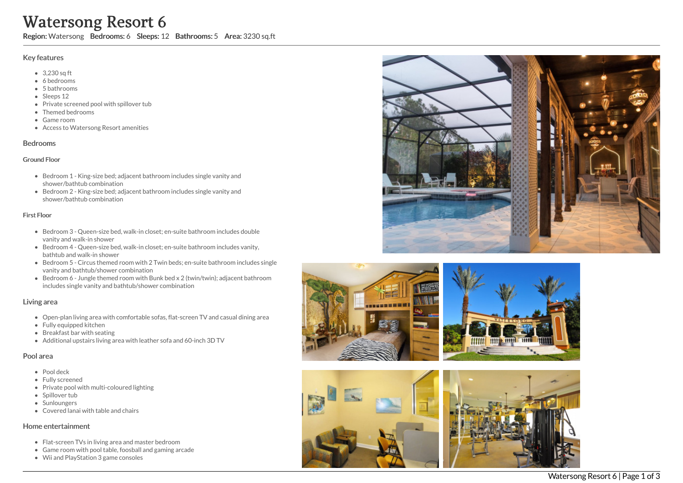# Watersong Resort 6

Region: Watersong Bedrooms: 6 Sleeps: 12 Bathrooms: 5 Area: 3230 sq.ft

## Key features

- 3,230 sq ft
- 6 b e d r o o m s
- 5 bathrooms
- Sleeps 12
- Private screened pool with spillover tub
- Themed bedrooms
- G a m e r o o m
- Access to Watersong Resort amenities

### **Bedrooms**

### Ground Floor

- Bedroom 1 King-size bed; adjacent bathroom includes single vanity and shower/bathtub combination
- Bedroom 2 King-size bed; adjacent bathroom includes single vanity and shower/bathtub combination

### Fir s t Flo o r

- Bedroom 3 Queen-size bed, walk-in closet; en-suite bathroom includes double vanity and walk-in shower
- Bedroom 4 Queen-size bed, walk-in closet; en-suite bathroom includes vanity, bathtub and walk-in shower
- Bedroom 5 Circus themed room with 2 Twin beds; en-suite bathroom includes single vanity and bathtub/shower combination
- Bedroom 6 Jungle themed room with Bunk bed x 2 (twin/twin); adjacent bathroom includes single vanity and bathtub/shower combination

## Living area

- Open-plan living area with comfortable sofas, flat-screen TV and casual dining area
- Fully equipped kitchen
- Breakfast bar with seating
- Additional upstairs living area with leather sofa and 60-inch 3D TV

## Pool area

- Pool deck
- Fully screened
- Private pool with multi-coloured lighting
- Spillover tub
- **Sunloungers**
- Covered lanai with table and chairs

## Home entertainment

- Flat-screen TVs in living area and master bedroom
- Game room with pool table, foosball and gaming arcade
- Wii and PlayStation 3 game consoles









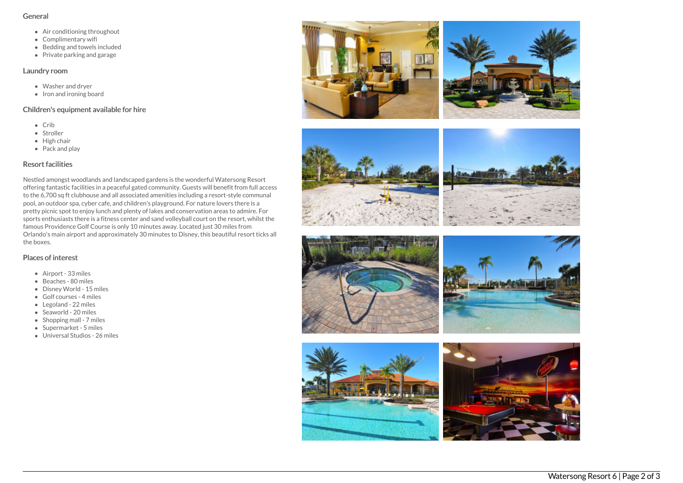#### General

- Air conditioning throughout
- Complimentary wifi
- Bedding and towels included
- Private parking and garage

## Laundry room

- Washer and dryer
- $\bullet$  Iron and ironing board

## Children's equipment available for hire

- Crib
- Stroller
- $\bullet$  High chair
- Pack and play

## Resort facilities

Nestled amongst woodlands and landscaped gardens is the wonderful Watersong Resort offering fantastic facilities in a peaceful gated community. Guests will benefit from full access to the 6,700 sq ft clubhouse and all associated amenities including a resort-style communal pool, an outdoor spa, cyber cafe, and children's playground. For nature lovers there is a pretty picnic spot to enjoy lunch and plenty of lakes and conservation areas to admire. For sports enthusiasts there is a fitness center and sand volleyball court on the resort, whilst the famous Providence Golf Course is only 10 minutes away. Located just 30 miles from Orlando's main airport and approximately 30 minutes to Disney, this beautiful resort ticks all the boxes.

## Places of interest

- Airport 33 miles
- Beaches 80 miles
- Disney World 15 miles
- Golf courses 4 miles
- Legoland 22 miles
- Seaworld 20 miles
- $\bullet$  Shopping mall 7 miles
- Supermarket 5 miles
- Universal Studios 26 miles